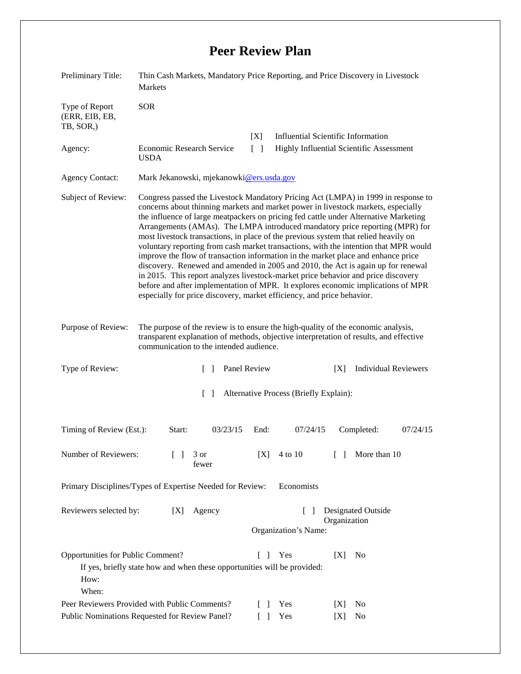## **Peer Review Plan**

| Preliminary Title:                                                      | Thin Cash Markets, Mandatory Price Reporting, and Price Discovery in Livestock<br>Markets                                                                                                                                                                                                                                                                                                                                                                                                                                                                                                                                                                                                                                                                                                                                                                                                                                                                 |                                                                                                                                                                             |
|-------------------------------------------------------------------------|-----------------------------------------------------------------------------------------------------------------------------------------------------------------------------------------------------------------------------------------------------------------------------------------------------------------------------------------------------------------------------------------------------------------------------------------------------------------------------------------------------------------------------------------------------------------------------------------------------------------------------------------------------------------------------------------------------------------------------------------------------------------------------------------------------------------------------------------------------------------------------------------------------------------------------------------------------------|-----------------------------------------------------------------------------------------------------------------------------------------------------------------------------|
| Type of Report<br>(ERR, EIB, EB,<br>TB, SOR,)                           | <b>SOR</b>                                                                                                                                                                                                                                                                                                                                                                                                                                                                                                                                                                                                                                                                                                                                                                                                                                                                                                                                                |                                                                                                                                                                             |
|                                                                         |                                                                                                                                                                                                                                                                                                                                                                                                                                                                                                                                                                                                                                                                                                                                                                                                                                                                                                                                                           | <b>Influential Scientific Information</b><br>[X]                                                                                                                            |
| Agency:                                                                 | <b>Economic Research Service</b><br><b>USDA</b>                                                                                                                                                                                                                                                                                                                                                                                                                                                                                                                                                                                                                                                                                                                                                                                                                                                                                                           | $\lceil \rceil$<br><b>Highly Influential Scientific Assessment</b>                                                                                                          |
| <b>Agency Contact:</b>                                                  | Mark Jekanowski, mjekanowki@ers.usda.gov                                                                                                                                                                                                                                                                                                                                                                                                                                                                                                                                                                                                                                                                                                                                                                                                                                                                                                                  |                                                                                                                                                                             |
| Subject of Review:                                                      | Congress passed the Livestock Mandatory Pricing Act (LMPA) in 1999 in response to<br>concerns about thinning markets and market power in livestock markets, especially<br>the influence of large meatpackers on pricing fed cattle under Alternative Marketing<br>Arrangements (AMAs). The LMPA introduced mandatory price reporting (MPR) for<br>most livestock transactions, in place of the previous system that relied heavily on<br>voluntary reporting from cash market transactions, with the intention that MPR would<br>improve the flow of transaction information in the market place and enhance price<br>discovery. Renewed and amended in 2005 and 2010, the Act is again up for renewal<br>in 2015. This report analyzes livestock-market price behavior and price discovery<br>before and after implementation of MPR. It explores economic implications of MPR<br>especially for price discovery, market efficiency, and price behavior. |                                                                                                                                                                             |
| Purpose of Review:                                                      | communication to the intended audience.                                                                                                                                                                                                                                                                                                                                                                                                                                                                                                                                                                                                                                                                                                                                                                                                                                                                                                                   | The purpose of the review is to ensure the high-quality of the economic analysis,<br>transparent explanation of methods, objective interpretation of results, and effective |
| Type of Review:                                                         | $\Box$                                                                                                                                                                                                                                                                                                                                                                                                                                                                                                                                                                                                                                                                                                                                                                                                                                                                                                                                                    | Panel Review<br><b>Individual Reviewers</b><br>[X]                                                                                                                          |
| $\lceil \rceil$<br>Alternative Process (Briefly Explain):               |                                                                                                                                                                                                                                                                                                                                                                                                                                                                                                                                                                                                                                                                                                                                                                                                                                                                                                                                                           |                                                                                                                                                                             |
| Timing of Review (Est.):                                                | Start:<br>03/23/15                                                                                                                                                                                                                                                                                                                                                                                                                                                                                                                                                                                                                                                                                                                                                                                                                                                                                                                                        | End:<br>07/24/15<br>Completed:<br>07/24/15                                                                                                                                  |
| Number of Reviewers:<br>3 or<br>fewer                                   |                                                                                                                                                                                                                                                                                                                                                                                                                                                                                                                                                                                                                                                                                                                                                                                                                                                                                                                                                           | 4 to 10<br>More than 10<br>[X]<br>$\Box$                                                                                                                                    |
| Primary Disciplines/Types of Expertise Needed for Review:<br>Economists |                                                                                                                                                                                                                                                                                                                                                                                                                                                                                                                                                                                                                                                                                                                                                                                                                                                                                                                                                           |                                                                                                                                                                             |
| Reviewers selected by:                                                  | Agency<br>[X]                                                                                                                                                                                                                                                                                                                                                                                                                                                                                                                                                                                                                                                                                                                                                                                                                                                                                                                                             | Designated Outside<br>$\mathbf{I}$<br>Organization<br>Organization's Name:                                                                                                  |
| Opportunities for Public Comment?<br>How:<br>When:                      | If yes, briefly state how and when these opportunities will be provided:<br>Peer Reviewers Provided with Public Comments?                                                                                                                                                                                                                                                                                                                                                                                                                                                                                                                                                                                                                                                                                                                                                                                                                                 | Yes<br>[X]<br>$\begin{bmatrix} 1 \end{bmatrix}$<br>N <sub>0</sub><br>Yes<br>No<br>$\Box$<br>[X]                                                                             |
| Public Nominations Requested for Review Panel?                          |                                                                                                                                                                                                                                                                                                                                                                                                                                                                                                                                                                                                                                                                                                                                                                                                                                                                                                                                                           | Yes<br>N <sub>0</sub><br>[X]                                                                                                                                                |